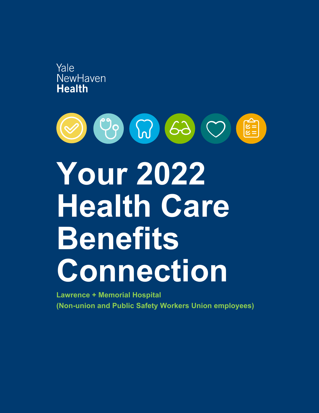



**Lawrence + Memorial Hospital (Non-union and Public Safety Workers Union employees)**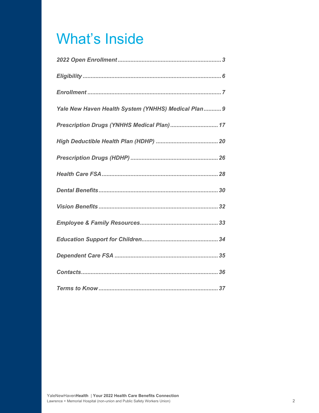# What's Inside

| Yale New Haven Health System (YNHHS) Medical Plan 9 |
|-----------------------------------------------------|
| Prescription Drugs (YNHHS Medical Plan) 17          |
|                                                     |
|                                                     |
|                                                     |
|                                                     |
|                                                     |
|                                                     |
|                                                     |
|                                                     |
|                                                     |
|                                                     |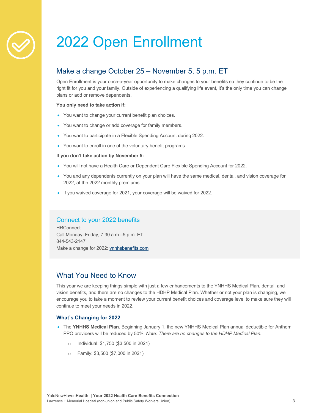# 2022 Open Enrollment

# Make a change October 25 – November 5, 5 p.m. ET

Open Enrollment is your once-a-year opportunity to make changes to your benefits so they continue to be the right fit for you and your family. Outside of experiencing a qualifying life event, it's the only time you can change plans or add or remove dependents.

#### **You only need to take action if:**

- You want to change your current benefit plan choices.
- You want to change or add coverage for family members.
- You want to participate in a Flexible Spending Account during 2022.
- You want to enroll in one of the voluntary benefit programs.

#### **If you don't take action by November 5:**

- You will not have a Health Care or Dependent Care Flexible Spending Account for 2022.
- You and any dependents currently on your plan will have the same medical, dental, and vision coverage for 2022, at the 2022 monthly premiums.
- If you waived coverage for 2021, your coverage will be waived for 2022.

# Connect to your 2022 benefits

**HRConnect** Call Monday–Friday, 7:30 a.m.–5 p.m. ET 844-543-2147 Make a change for 2022: ynhhsbenefits.com

# What You Need to Know

This year we are keeping things simple with just a few enhancements to the YNHHS Medical Plan, dental, and vision benefits, and there are no changes to the HDHP Medical Plan. Whether or not your plan is changing, we encourage you to take a moment to review your current benefit choices and coverage level to make sure they will continue to meet your needs in 2022.

#### **What's Changing for 2022**

- The **YNHHS Medical Plan**. Beginning January 1, the new YNHHS Medical Plan annual deductible for Anthem PPO providers will be reduced by 50%. *Note: There are no changes to the HDHP Medical Plan.*
	- o Individual: \$1,750 (\$3,500 in 2021)
	- o Family: \$3,500 (\$7,000 in 2021)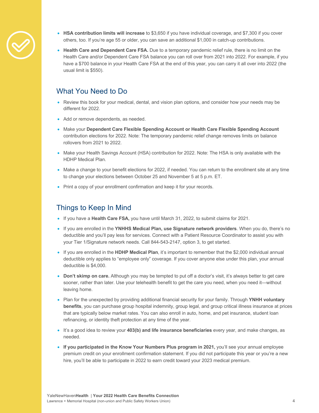

- **HSA contribution limits will increase** to \$3,650 if you have individual coverage, and \$7,300 if you cover others, too. If you're age 55 or older, you can save an additional \$1,000 in catch-up contributions.
- Health Care and Dependent Care FSA. Due to a temporary pandemic relief rule, there is no limit on the Health Care and/or Dependent Care FSA balance you can roll over from 2021 into 2022. For example, if you have a \$700 balance in your Health Care FSA at the end of this year, you can carry it all over into 2022 (the usual limit is \$550).

# What You Need to Do

- Review this book for your medical, dental, and vision plan options, and consider how your needs may be different for 2022.
- Add or remove dependents, as needed.
- Make your **Dependent Care Flexible Spending Account or Health Care Flexible Spending Account** contribution elections for 2022. Note: The temporary pandemic relief change removes limits on balance rollovers from 2021 to 2022.
- Make your Health Savings Account (HSA) contribution for 2022. Note: The HSA is only available with the HDHP Medical Plan.
- Make a change to your benefit elections for 2022, if needed. You can return to the enrollment site at any time to change your elections between October 25 and November 5 at 5 p.m. ET.
- Print a copy of your enrollment confirmation and keep it for your records.

# Things to Keep In Mind

- If you have a **Health Care FSA,** you have until March 31, 2022, to submit claims for 2021.
- If you are enrolled in the **YNHHS Medical Plan, use Signature network providers**. When you do, there's no deductible and you'll pay less for services. Connect with a Patient Resource Coordinator to assist you with your Tier 1/Signature network needs. Call 844-543-2147, option 3, to get started.
- If you are enrolled in the **HDHP Medical Plan**, it's important to remember that the \$2,000 individual annual deductible only applies to "employee only" coverage. If you cover anyone else under this plan, your annual deductible is \$4,000.
- **Don't skimp on care.** Although you may be tempted to put off a doctor's visit, it's always better to get care sooner, rather than later. Use your telehealth benefit to get the care you need, when you need it—without leaving home.
- Plan for the unexpected by providing additional financial security for your family. Through **YNHH voluntary benefits**, you can purchase group hospital indemnity, group legal, and group critical illness insurance at prices that are typically below market rates. You can also enroll in auto, home, and pet insurance, student loan refinancing, or identity theft protection at any time of the year.
- It's a good idea to review your **403(b) and life insurance beneficiaries** every year, and make changes, as needed.
- If you participated in the Know Your Numbers Plus program in 2021, you'll see your annual employee premium credit on your enrollment confirmation statement. If you did not participate this year or you're a new hire, you'll be able to participate in 2022 to earn credit toward your 2023 medical premium.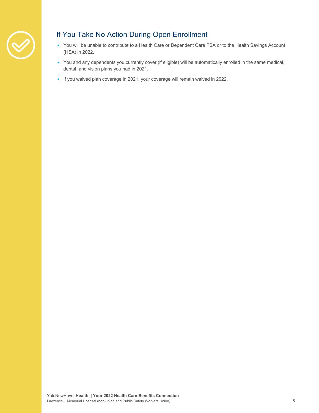

# If You Take No Action During Open Enrollment

- You will be unable to contribute to a Health Care or Dependent Care FSA or to the Health Savings Account (HSA) in 2022.
- You and any dependents you currently cover (if eligible) will be automatically enrolled in the same medical, dental, and vision plans you had in 2021.
- If you waived plan coverage in 2021, your coverage will remain waived in 2022.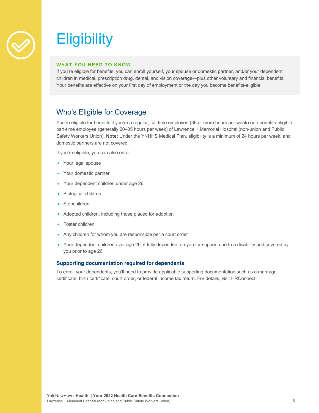

# **Eligibility**

#### **WHAT YOU NEED TO KNOW**

If you're eligible for benefits, you can enroll yourself, your spouse or domestic partner, and/or your dependent children in medical, prescription drug, dental, and vision coverage—plus other voluntary and financial benefits. Your benefits are effective on your first day of employment or the day you become benefits-eligible.

# Who's Eligible for Coverage

You're eligible for benefits if you're a regular, full-time employee (36 or more hours per week) or a benefits-eligible part-time employee (generally 20–35 hours per week) of Lawrence + Memorial Hospital (non-union and Public Safety Workers Union). **Note:** Under the YNHHS Medical Plan, eligibility is a minimum of 24 hours per week, and domestic partners are not covered.

If you're eligible, you can also enroll:

- Your legal spouse
- Your domestic partner
- Your dependent children under age 26:
- Biological children
- Stepchildren
- Adopted children, including those placed for adoption
- Foster children
- Any children for whom you are responsible per a court order
- Your dependent children over age 26, if fully dependent on you for support due to a disability and covered by you prior to age 26

#### **Supporting documentation required for dependents**

To enroll your dependents, you'll need to provide applicable supporting documentation such as a marriage certificate, birth certificate, court order, or federal income tax return. For details, visit HRConnect.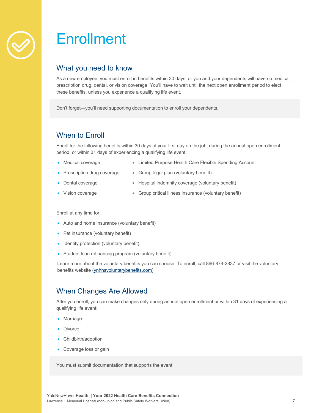

# **Enrollment**

# What you need to know

As a new employee, you must enroll in benefits within 30 days, or you and your dependents will have no medical, prescription drug, dental, or vision coverage. You'll have to wait until the next open enrollment period to elect these benefits, unless you experience a qualifying life event.

Don't forget—you'll need supporting documentation to enroll your dependents.

# When to Enroll

Enroll for the following benefits within 30 days of your first day on the job, during the annual open enrollment period, or within 31 days of experiencing a qualifying life event:

- Medical coverage
- Limited-Purpose Health Care Flexible Spending Account
- Prescription drug coverage
- Group legal plan (voluntary benefit)
- Dental coverage
- Hospital indemnity coverage (voluntary benefit)
- Vision coverage
- Group critical illness insurance (voluntary benefit)

Enroll at any time for:

- Auto and home insurance (voluntary benefit)
- Pet insurance (voluntary benefit)
- Identity protection (voluntary benefit)
- Student loan refinancing program (voluntary benefit)

Learn more about the voluntary benefits you can choose. To enroll, call 866-874-2837 or visit the voluntary benefits website (ynhhsvoluntarybenefits.com)

# When Changes Are Allowed

After you enroll, you can make changes only during annual open enrollment or within 31 days of experiencing a qualifying life event:

- Marriage
- **Divorce**
- Childbirth/adoption
- Coverage loss or gain

You must submit documentation that supports the event.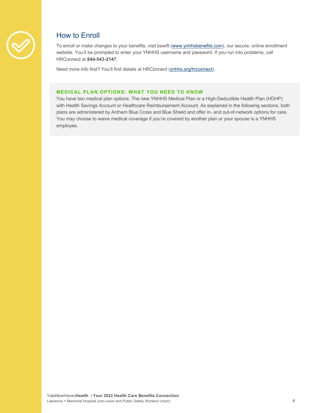

# How to Enroll

To enroll or make changes to your benefits, visit bswift (www.ynhhsbenefits.com), our secure, online enrollment website. You'll be prompted to enter your YNHHS username and password. If you run into problems, call HRConnect at **844-543-2147**.

Need more info first? You'll find details at HRConnect (ynhhs.org/hrconnect).

### **MEDICAL PLAN OPTIONS: WHAT YOU NEED TO KNOW**

You have two medical plan options: The new YNHHS Medical Plan or a High-Deductible Health Plan (HDHP) with Health Savings Account or Healthcare Reimbursement Account. As explained in the following sections, both plans are administered by Anthem Blue Cross and Blue Shield and offer in- and out-of-network options for care. You may choose to waive medical coverage if you're covered by another plan or your spouse is a YNHHS employee.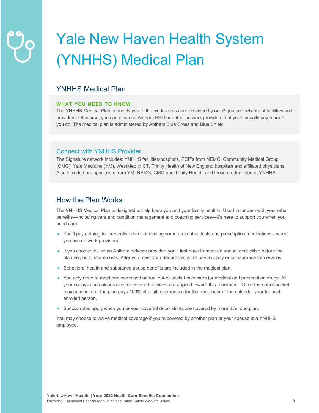# Yale New Haven Health System (YNHHS) Medical Plan

# YNHHS Medical Plan

### **WHAT YOU NEED TO KNOW**

The YNHHS Medical Plan connects you to the world-class care provided by our Signature network of facilities and providers. Of course, you can also use Anthem PPO or out-of-network providers, but you'll usually pay more if you do. The medical plan is administered by Anthem Blue Cross and Blue Shield.

# Connect with YNHHS Provider

The Signature network includes: YNHHS facilities/hospitals, PCP's from NEMG, Community Medical Group (CMG), Yale Medicine (YM), WestMed in CT, Trinity Health of New England hospitals and affiliated physicians. Also included are specialists from YM, NEMG, CMG and Trinity Health, and those credentialed at YNHHS.

# How the Plan Works

The YNHHS Medical Plan is designed to help keep you and your family healthy. Used in tandem with your other benefits—including care and condition management and coaching services—it's here to support you when you need care.

- You'll pay nothing for preventive care—including some preventive tests and prescription medications—when you use network providers.
- If you choose to use an Anthem network provider, you'll first have to meet an annual deductible before the plan begins to share costs. After you meet your deductible, you'll pay a copay or coinsurance for services.
- Behavioral health and substance abuse benefits are included in the medical plan.
- You only need to meet one combined annual out-of-pocket maximum for medical and prescription drugs. All your copays and coinsurance for covered services are applied toward this maximum. Once the out-of-pocket maximum is met, the plan pays 100% of eligible expenses for the remainder of the calendar year for each enrolled person.
- Special rules apply when you or your covered dependents are covered by more than one plan.

You may choose to waive medical coverage if you're covered by another plan or your spouse is a YNHHS employee.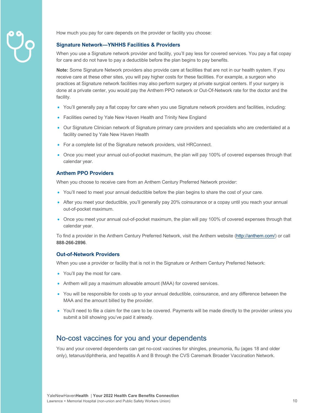

How much you pay for care depends on the provider or facility you choose:

#### **Signature Network—YNHHS Facilities & Providers**

When you use a Signature network provider and facility, you'll pay less for covered services. You pay a flat copay for care and do not have to pay a deductible before the plan begins to pay benefits.

**Note:** Some Signature Network providers also provide care at facilities that are not in our health system. If you receive care at these other sites, you will pay higher costs for these facilities. For example, a surgeon who practices at Signature network facilities may also perform surgery at private surgical centers. If your surgery is done at a private center, you would pay the Anthem PPO network or Out-Of-Network rate for the doctor and the facility.

- You'll generally pay a flat copay for care when you use Signature network providers and facilities, including:
- Facilities owned by Yale New Haven Health and Trinity New England
- Our Signature Clinician network of Signature primary care providers and specialists who are credentialed at a facility owned by Yale New Haven Health
- For a complete list of the Signature network providers, visit HRConnect.
- Once you meet your annual out-of-pocket maximum, the plan will pay 100% of covered expenses through that calendar year.

#### **Anthem PPO Providers**

When you choose to receive care from an Anthem Century Preferred Network provider:

- You'll need to meet your annual deductible before the plan begins to share the cost of your care.
- After you meet your deductible, you'll generally pay 20% coinsurance or a copay until you reach your annual out-of-pocket maximum.
- Once you meet your annual out-of-pocket maximum, the plan will pay 100% of covered expenses through that calendar year.

To find a provider in the Anthem Century Preferred Network, visit the Anthem website (http://anthem.com/) or call **888-266-2896**.

#### **Out-of-Network Providers**

When you use a provider or facility that is not in the Signature or Anthem Century Preferred Network:

- You'll pay the most for care.
- Anthem will pay a maximum allowable amount (MAA) for covered services.
- You will be responsible for costs up to your annual deductible, coinsurance, and any difference between the MAA and the amount billed by the provider.
- You'll need to file a claim for the care to be covered. Payments will be made directly to the provider unless you submit a bill showing you've paid it already.

# No-cost vaccines for you and your dependents

You and your covered dependents can get no-cost vaccines for shingles, pneumonia, flu (ages 18 and older only), tetanus/diphtheria, and hepatitis A and B through the CVS Caremark Broader Vaccination Network.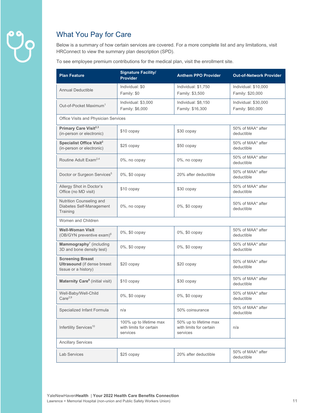

# What You Pay for Care

Below is a summary of how certain services are covered. For a more complete list and any limitations, visit HRConnect to view the summary plan description (SPD).

To see employee premium contributions for the medical plan, visit the enrollment site.

| <b>Plan Feature</b>                                                                   | <b>Signature Facility/</b><br><b>Provider</b>                  | <b>Anthem PPO Provider</b>                                    | <b>Out-of-Network Provider</b>           |
|---------------------------------------------------------------------------------------|----------------------------------------------------------------|---------------------------------------------------------------|------------------------------------------|
| <b>Annual Deductible</b>                                                              | Individual: \$0<br>Family: \$0                                 | Individual: \$1,750<br>Family: \$3,500                        | Individual: \$10,000<br>Family: \$20,000 |
| Out-of-Pocket Maximum <sup>1</sup>                                                    | Individual: \$3,000<br>Family: \$6,000                         | Individual: \$8,150<br>Family: \$16,300                       | Individual: \$30,000<br>Family: \$60,000 |
| Office Visits and Physician Services                                                  |                                                                |                                                               |                                          |
| Primary Care Visit <sup>2,3</sup><br>(in-person or electronic)                        | \$10 copay                                                     | \$30 copay                                                    | 50% of MAA* after<br>deductible          |
| <b>Specialist Office Visit<sup>2</sup></b><br>(in-person or electronic)               | \$25 copay                                                     | \$50 copay                                                    | 50% of MAA* after<br>deductible          |
| Routine Adult Exam <sup>2,4</sup>                                                     | 0%, no copay                                                   | 0%, no copay                                                  | 50% of MAA* after<br>deductible          |
| Doctor or Surgeon Services <sup>5</sup>                                               | 0%, \$0 copay                                                  | 20% after deductible                                          | 50% of MAA* after<br>deductible          |
| Allergy Shot in Doctor's<br>Office (no MD visit)                                      | \$10 copay                                                     | \$30 copay                                                    | 50% of MAA* after<br>deductible          |
| Nutrition Counseling and<br>Diabetes Self-Management<br>Training                      | 0%, no copay                                                   | 0%, \$0 copay                                                 | 50% of MAA* after<br>deductible          |
| Women and Children                                                                    |                                                                |                                                               |                                          |
| <b>Well-Woman Visit</b><br>$(OB/GYN)$ preventive exam) $6$                            | 0%, \$0 copay                                                  | 0%, \$0 copay                                                 | 50% of MAA* after<br>deductible          |
| Mammography <sup>7</sup> (including<br>3D and bone density test)                      | 0%, \$0 copay                                                  | 0%, \$0 copay                                                 | 50% of MAA* after<br>deductible          |
| <b>Screening Breast</b><br><b>Ultrasound</b> (if dense breast<br>tissue or a history) | \$20 copay                                                     | \$20 copay                                                    | 50% of MAA* after<br>deductible          |
| <b>Maternity Care<sup>8</sup></b> (initial visit)                                     | \$10 copay                                                     | \$30 copay                                                    | 50% of MAA* after<br>deductible          |
| Well-Baby/Well-Child<br>Care <sup>2,9</sup>                                           | 0%, \$0 copay                                                  | 0%, \$0 copay                                                 | 50% of MAA* after<br>deductible          |
| Specialized Infant Formula                                                            | n/a                                                            | 50% coinsurance                                               | 50% of MAA* after<br>deductible          |
| Infertility Services <sup>10</sup>                                                    | 100% up to lifetime max<br>with limits for certain<br>services | 50% up to lifetime max<br>with limits for certain<br>services | n/a                                      |
| <b>Ancillary Services</b>                                                             |                                                                |                                                               |                                          |
| <b>Lab Services</b>                                                                   | \$25 copay                                                     | 20% after deductible                                          | 50% of MAA* after<br>deductible          |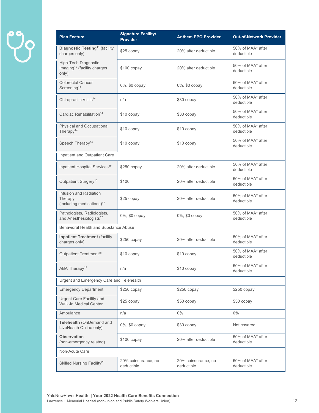# $99$

| <b>Plan Feature</b>                                                             | <b>Signature Facility/</b><br><b>Provider</b> | <b>Anthem PPO Provider</b>        | <b>Out-of-Network Provider</b>  |
|---------------------------------------------------------------------------------|-----------------------------------------------|-----------------------------------|---------------------------------|
| Diagnostic Testing <sup>11</sup> (facility<br>charges only)                     | \$25 copay                                    | 20% after deductible              | 50% of MAA* after<br>deductible |
| <b>High-Tech Diagnostic</b><br>Imaging <sup>12</sup> (facility charges<br>only) | \$100 copay                                   | 20% after deductible              | 50% of MAA* after<br>deductible |
| <b>Colorectal Cancer</b><br>Screening <sup>13</sup>                             | 0%, \$0 copay                                 | 0%, \$0 copay                     | 50% of MAA* after<br>deductible |
| Chiropractic Visits <sup>14</sup>                                               | n/a                                           | \$30 copay                        | 50% of MAA* after<br>deductible |
| Cardiac Rehabilitation <sup>14</sup>                                            | \$10 copay                                    | \$30 copay                        | 50% of MAA* after<br>deductible |
| Physical and Occupational<br>Therapy <sup>14</sup>                              | \$10 copay                                    | \$10 copay                        | 50% of MAA* after<br>deductible |
| Speech Therapy <sup>14</sup>                                                    | \$10 copay                                    | \$10 copay                        | 50% of MAA* after<br>deductible |
| Inpatient and Outpatient Care                                                   |                                               |                                   |                                 |
| Inpatient Hospital Services <sup>15</sup>                                       | $$250$ copay                                  | 20% after deductible              | 50% of MAA* after<br>deductible |
| Outpatient Surgery <sup>16</sup>                                                | \$100                                         | 20% after deductible              | 50% of MAA* after<br>deductible |
| Infusion and Radiation<br>Therapy<br>(including medications) <sup>17</sup>      | \$25 copay                                    | 20% after deductible              | 50% of MAA* after<br>deductible |
| Pathologists, Radiologists,<br>and Anesthesiologists <sup>17</sup>              | 0%, \$0 copay                                 | 0%, \$0 copay                     | 50% of MAA* after<br>deductible |
| Behavioral Health and Substance Abuse                                           |                                               |                                   |                                 |
| <b>Inpatient Treatment (facility</b><br>charges only)                           | $$250$ copay                                  | 20% after deductible              | 50% of MAA* after<br>deductible |
| Outpatient Treatment <sup>18</sup>                                              | \$10 copay                                    | \$10 copay                        | 50% of MAA* after<br>deductible |
| ABA Therapy <sup>19</sup>                                                       | n/a                                           | \$10 copay                        | 50% of MAA* after<br>deductible |
| Urgent and Emergency Care and Telehealth                                        |                                               |                                   |                                 |
| <b>Emergency Department</b>                                                     | \$250 copay                                   | \$250 copay                       | \$250 copay                     |
| Urgent Care Facility and<br>Walk-In Medical Center                              | \$25 copay                                    | \$50 copay                        | \$50 copay                      |
| Ambulance                                                                       | n/a                                           | $0\%$                             | $0\%$                           |
| Telehealth (OnDemand and<br>LiveHealth Online only)                             | 0%, \$0 copay                                 | \$30 copay                        | Not covered                     |
| <b>Observation</b><br>(non-emergency related)                                   | $$100$ copay                                  | 20% after deductible              | 50% of MAA* after<br>deductible |
| Non-Acute Care                                                                  |                                               |                                   |                                 |
| Skilled Nursing Facility <sup>20</sup>                                          | 20% coinsurance, no<br>deductible             | 20% coinsurance, no<br>deductible | 50% of MAA* after<br>deductible |
|                                                                                 |                                               |                                   |                                 |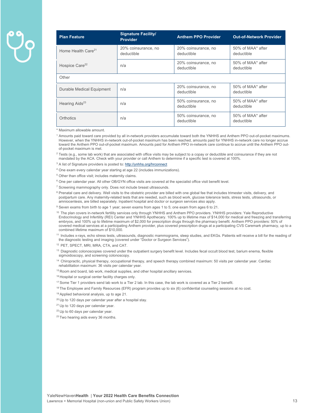| <b>Plan Feature</b>            | <b>Signature Facility/</b><br><b>Provider</b> | <b>Anthem PPO Provider</b>        | <b>Out-of-Network Provider</b>  |
|--------------------------------|-----------------------------------------------|-----------------------------------|---------------------------------|
| Home Health Care <sup>21</sup> | 20% coinsurance, no<br>deductible             | 20% coinsurance, no<br>deductible | 50% of MAA* after<br>deductible |
| Hospice Care <sup>22</sup>     | n/a                                           | 20% coinsurance, no<br>deductible | 50% of MAA* after<br>deductible |
| Other                          |                                               |                                   |                                 |
| Durable Medical Equipment      | n/a                                           | 20% coinsurance, no<br>deductible | 50% of MAA* after<br>deductible |
| Hearing Aids <sup>23</sup>     | n/a                                           | 50% coinsurance, no<br>deductible | 50% of MAA* after<br>deductible |
| Orthotics                      | n/a                                           | 50% coinsurance, no<br>deductible | 50% of MAA* after<br>deductible |

\* Maximum allowable amount.

<sup>1</sup> Amounts paid toward care provided by all in-network providers accumulate toward both the YNHHS and Anthem PPO out-of-pocket maximums. However, when the YNHHS in-network out-of-pocket maximum has been reached, amounts paid for YNHHS in-network care no longer accrue toward the Anthem PPO out-of-pocket maximum. Amounts paid for Anthem PPO in-network care continue to accrue until the Anthem PPO outof-pocket maximum is met.

 $2$  Tests (e.g., some lab work) that are associated with office visits may be subject to a copay or deductible and coinsurance if they are not mandated by the ACA. Check with your provider or call Anthem to determine if a specific test is covered at 100%.

<sup>3</sup> A list of Signature providers is posted to: http://ynhhs.org/hrconnect

4 One exam every calendar year starting at age 22 (includes immunizations).

5 Other than office visit; includes maternity claims.

<sup>6</sup> One per calendar year. All other OB/GYN office visits are covered at the specialist office visit benefit level.

<sup>7</sup> Screening mammography only. Does not include breast ultrasounds.

<sup>8</sup> Prenatal care and delivery. Well visits to the obstetric provider are billed with one global fee that includes trimester visits, delivery, and postpartum care. Any maternity-related tests that are needed, such as blood work, glucose tolerance tests, stress tests, ultrasounds, or amniocentesis, are billed separately. Inpatient hospital and doctor or surgeon services also apply.

<sup>9</sup> Seven exams from birth to age 1 year; seven exams from ages 1 to 5; one exam from ages 6 to 21.

<sup>10</sup> The plan covers in-network fertility services only through YNHHS and Anthem PPO providers. YNHHS providers: Yale Reproductive Endocrinology and Infertility (REI) Center and YNHHS Apothecary. 100% up to lifetime max of \$14,000 for medical and freezing and transferring embryos, and 100% up to lifetime maximum of \$2,000 for prescription drugs through the pharmacy benefit. Anthem PPO providers: 50% of covered medical services at a participating Anthem provider, plus covered prescription drugs at a participating CVS Caremark pharmacy, up to a combined lifetime maximum of \$10,000.

11 Includes x-rays, echo stress tests, ultrasounds, diagnostic mammograms, sleep studies, and EKGs. Patients will receive a bill for the reading of the diagnostic testing and imaging (covered under "Doctor or Surgeon Services").

- 12 PET, SPECT, MRI, MRA, CTA, and CAT.
- <sup>13</sup> Diagnostic colonoscopies covered under the outpatient surgery benefit level. Includes fecal occult blood test, barium enema, flexible sigmoidoscopy, and screening colonoscopy.
- <sup>14</sup> Chiropractic, physical therapy, occupational therapy, and speech therapy combined maximum: 50 visits per calendar year. Cardiac rehabilitation maximum: 36 visits per calendar year.
- <sup>15</sup> Room and board, lab work, medical supplies, and other hospital ancillary services.
- 16 Hospital or surgical center facility charges only.
- $17$  Some Tier 1 providers send lab work to a Tier 2 lab. In this case, the lab work is covered as a Tier 2 benefit.
- 18 The Employee and Family Resources (EFR) program provides up to six (6) confidential counseling sessions at no cost.
- <sup>19</sup> Applied behavioral analysis, up to age 21.
- <sup>20</sup> Up to 120 days per calendar year after a hospital stay.
- <sup>21</sup> Up to 120 days per calendar year.
- 22 Up to 60 days per calendar year.
- <sup>23</sup> Two hearing aids every 36 months.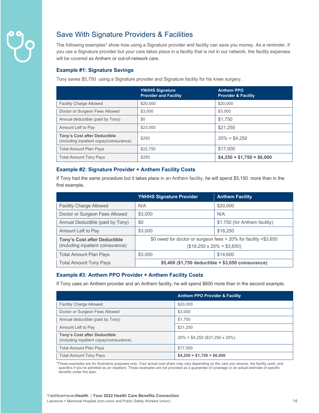

# Save With Signature Providers & Facilities

The following examples\* show how using a Signature provider and facility can save you money. As a reminder, if you use a Signature provider but your care takes place in a facility that is not in our network, the facility expenses will be covered as Anthem or out-of-network care.

### **Example #1: Signature Savings**

Tony saves \$5,750 using a Signature provider and Signature facility for his knee surgery.

|                                                                                | <b>YNHHS Signature</b><br><b>Provider and Facility</b> | <b>Anthem PPO</b><br><b>Provider &amp; Facility</b> |
|--------------------------------------------------------------------------------|--------------------------------------------------------|-----------------------------------------------------|
| <b>Facility Charge Allowed</b>                                                 | \$20,000                                               | \$20,000                                            |
| Doctor or Surgeon Fees Allowed                                                 | \$3,000                                                | \$3,000                                             |
| Annual deductible (paid by Tony)                                               | \$0                                                    | \$1,750                                             |
| Amount Left to Pay                                                             | \$23,000                                               | \$21,250                                            |
| <b>Tony's Cost after Deductible</b><br>(including inpatient copay/coinsurance) | \$250                                                  | $20\% = $4.250$                                     |
| <b>Total Amount Plan Pays</b>                                                  | \$22.750                                               | \$17,000                                            |
| <b>Total Amount Tony Pays</b>                                                  | \$250                                                  | $$4,250 + $1,750 = $6,000$                          |

# **Example #2: Signature Provider + Anthem Facility Costs**

If Tony had the same procedure but it takes place in an Anthem facility, he will spend \$5,150 more than in the first example**.**

|                                                                          | <b>YNHHS Signature Provider</b>                                                                       | <b>Anthem Facility</b>        |
|--------------------------------------------------------------------------|-------------------------------------------------------------------------------------------------------|-------------------------------|
| <b>Facility Charge Allowed</b>                                           | N/A                                                                                                   | \$20,000                      |
| Doctor or Surgeon Fees Allowed                                           | \$3,000                                                                                               | N/A                           |
| Annual Deductible (paid by Tony)                                         | \$0                                                                                                   | \$1,750 (for Anthem facility) |
| Amount Left to Pay                                                       | \$3,000                                                                                               | \$18,250                      |
| <b>Tony's Cost after Deductible</b><br>(including inpatient coinsurance) | \$0 owed for doctor or surgeon fees $+20\%$ for facility =\$3,650<br>$($18,250 \times 20\% = $3,650)$ |                               |
| <b>Total Amount Plan Pays</b>                                            | \$3,000                                                                                               | \$14,600                      |
| <b>Total Amount Tony Pays</b>                                            | \$5,400 (\$1,750 deductible + \$3,650 coinsurance)                                                    |                               |

### **Example #3: Anthem PPO Provider + Anthem Facility Costs**

If Tony uses an Anthem provider and an Anthem facility, he will spend \$600 more than in the second example.

|                                                                                | <b>Anthem PPO Provider &amp; Facility</b> |
|--------------------------------------------------------------------------------|-------------------------------------------|
| <b>Facility Charge Allowed</b>                                                 | \$20,000                                  |
| Doctor or Surgeon Fees Allowed                                                 | \$3,000                                   |
| Annual deductible (paid by Tony)                                               | \$1.750                                   |
| Amount Left to Pay                                                             | \$21,250                                  |
| <b>Tony's Cost after Deductible</b><br>(including inpatient copay/coinsurance) | $20\% = $4,250 ($21,250 \times 20\%)$     |
| <b>Total Amount Plan Pays</b>                                                  | \$17,000                                  |
| <b>Total Amount Tony Pays</b>                                                  | $$4,250 + $1,750 = $6,000$                |

\*These examples are for illustrative purposes only. Your actual cost share may vary depending on the care you receive, the facility used, and specifics if you're admitted as an inpatient. These examples are not provided as a guarantee of coverage or an actual estimate of specific benefits under the plan.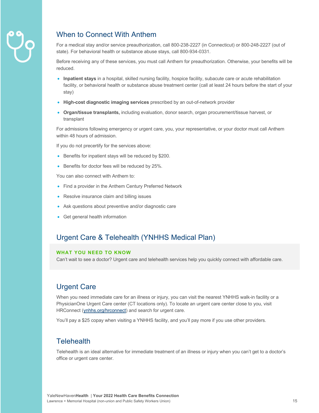

# When to Connect With Anthem

For a medical stay and/or service preauthorization, call 800-238-2227 (in Connecticut) or 800-248-2227 (out of state). For behavioral health or substance abuse stays, call 800-934-0331.

Before receiving any of these services, you must call Anthem for preauthorization. Otherwise, your benefits will be reduced.

- **Inpatient stays** in a hospital, skilled nursing facility, hospice facility, subacute care or acute rehabilitation facility, or behavioral health or substance abuse treatment center (call at least 24 hours before the start of your stay)
- **High-cost diagnostic imaging services** prescribed by an out-of-network provider
- **Organ/tissue transplants,** including evaluation, donor search, organ procurement/tissue harvest, or transplant

For admissions following emergency or urgent care, you, your representative, or your doctor must call Anthem within 48 hours of admission.

If you do not precertify for the services above:

- Benefits for inpatient stays will be reduced by \$200.
- Benefits for doctor fees will be reduced by 25%.

You can also connect with Anthem to:

- Find a provider in the Anthem Century Preferred Network
- Resolve insurance claim and billing issues
- Ask questions about preventive and/or diagnostic care
- Get general health information

# Urgent Care & Telehealth (YNHHS Medical Plan)

### **WHAT YOU NEED TO KNOW**

Can't wait to see a doctor? Urgent care and telehealth services help you quickly connect with affordable care.

# Urgent Care

When you need immediate care for an illness or injury, you can visit the nearest YNHHS walk-in facility or a PhysicianOne Urgent Care center (CT locations only). To locate an urgent care center close to you, visit HRConnect (ynhhs.org/hrconnect) and search for urgent care.

You'll pay a \$25 copay when visiting a YNHHS facility, and you'll pay more if you use other providers.

# **Telehealth**

Telehealth is an ideal alternative for immediate treatment of an illness or injury when you can't get to a doctor's office or urgent care center.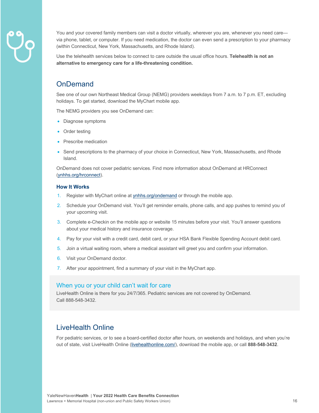

You and your covered family members can visit a doctor virtually, wherever you are, whenever you need care via phone, tablet, or computer. If you need medication, the doctor can even send a prescription to your pharmacy (within Connecticut, New York, Massachusetts, and Rhode Island).

Use the telehealth services below to connect to care outside the usual office hours. **Telehealth is not an alternative to emergency care for a life-threatening condition.** 

# **OnDemand**

See one of our own Northeast Medical Group (NEMG) providers weekdays from 7 a.m. to 7 p.m. ET, excluding holidays. To get started, download the MyChart mobile app.

The NEMG providers you see OnDemand can:

- Diagnose symptoms
- Order testing
- Prescribe medication
- Send prescriptions to the pharmacy of your choice in Connecticut, New York, Massachusetts, and Rhode Island.

OnDemand does not cover pediatric services. Find more information about OnDemand at HRConnect (ynhhs.org/hrconnect).

#### **How It Works**

- 1. Register with MyChart online at ynhhs.org/ondemand or through the mobile app.
- 2. Schedule your OnDemand visit. You'll get reminder emails, phone calls, and app pushes to remind you of your upcoming visit.
- 3. Complete e-Checkin on the mobile app or website 15 minutes before your visit. You'll answer questions about your medical history and insurance coverage.
- 4. Pay for your visit with a credit card, debit card, or your HSA Bank Flexible Spending Account debit card.
- 5. Join a virtual waiting room, where a medical assistant will greet you and confirm your information.
- 6. Visit your OnDemand doctor.
- 7. After your appointment, find a summary of your visit in the MyChart app.

# When you or your child can't wait for care

LiveHealth Online is there for you 24/7/365. Pediatric services are not covered by OnDemand. Call 888-548-3432.

# LiveHealth Online

For pediatric services, or to see a board-certified doctor after hours, on weekends and holidays, and when you're out of state, visit LiveHealth Online (livehealthonline.com/), download the mobile app, or call **888-548-3432**.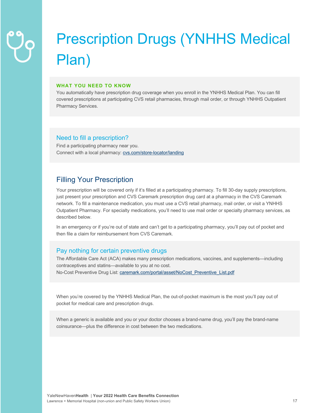# Prescription Drugs (YNHHS Medical Plan)

#### **WHAT YOU NEED TO KNOW**

You automatically have prescription drug coverage when you enroll in the YNHHS Medical Plan. You can fill covered prescriptions at participating CVS retail pharmacies, through mail order, or through YNHHS Outpatient Pharmacy Services.

# Need to fill a prescription?

Find a participating pharmacy near you. Connect with a local pharmacy: cvs.com/store-locator/landing

# Filling Your Prescription

Your prescription will be covered only if it's filled at a participating pharmacy. To fill 30-day supply prescriptions, just present your prescription and CVS Caremark prescription drug card at a pharmacy in the CVS Caremark network. To fill a maintenance medication, you must use a CVS retail pharmacy, mail order, or visit a YNHHS Outpatient Pharmacy. For specialty medications, you'll need to use mail order or specialty pharmacy services, as described below.

In an emergency or if you're out of state and can't get to a participating pharmacy, you'll pay out of pocket and then file a claim for reimbursement from CVS Caremark.

# Pay nothing for certain preventive drugs

The Affordable Care Act (ACA) makes many prescription medications, vaccines, and supplements—including contraceptives and statins—available to you at no cost. No-Cost Preventive Drug List: caremark.com/portal/asset/NoCost\_Preventive\_List.pdf

When you're covered by the YNHHS Medical Plan, the out-of-pocket maximum is the most you'll pay out of pocket for medical care and prescription drugs.

When a generic is available and you or your doctor chooses a brand-name drug, you'll pay the brand-name coinsurance—plus the difference in cost between the two medications.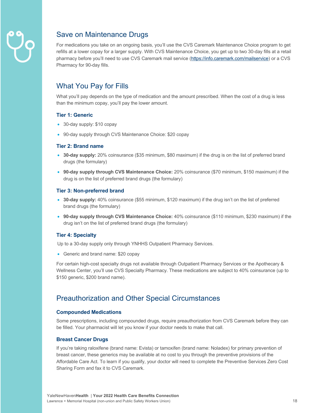

# Save on Maintenance Drugs

For medications you take on an ongoing basis, you'll use the CVS Caremark Maintenance Choice program to get refills at a lower copay for a larger supply. With CVS Maintenance Choice, you get up to two 30-day fills at a retail pharmacy before you'll need to use CVS Caremark mail service (https://info.caremark.com/mailservice) or a CVS Pharmacy for 90-day fills.

# What You Pay for Fills

What you'll pay depends on the type of medication and the amount prescribed. When the cost of a drug is less than the minimum copay, you'll pay the lower amount.

### **Tier 1: Generic**

- 30-day supply: \$10 copay
- 90-day supply through CVS Maintenance Choice: \$20 copay

#### **Tier 2: Brand name**

- **30-day supply:** 20% coinsurance (\$35 minimum, \$80 maximum) if the drug is on the list of preferred brand drugs (the formulary)
- **90-day supply through CVS Maintenance Choice:** 20% coinsurance (\$70 minimum, \$150 maximum) if the drug is on the list of preferred brand drugs (the formulary)

### **Tier 3: Non-preferred brand**

- **30-day supply:** 40% coinsurance (\$55 minimum, \$120 maximum) if the drug isn't on the list of preferred brand drugs (the formulary)
- **90-day supply through CVS Maintenance Choice:** 40% coinsurance (\$110 minimum, \$230 maximum) if the drug isn't on the list of preferred brand drugs (the formulary)

# **Tier 4: Specialty**

Up to a 30-day supply only through YNHHS Outpatient Pharmacy Services.

• Generic and brand name: \$20 copay

For certain high-cost specialty drugs not available through Outpatient Pharmacy Services or the Apothecary & Wellness Center, you'll use CVS Specialty Pharmacy. These medications are subject to 40% coinsurance (up to \$150 generic, \$200 brand name).

# Preauthorization and Other Special Circumstances

#### **Compounded Medications**

Some prescriptions, including compounded drugs, require preauthorization from CVS Caremark before they can be filled. Your pharmacist will let you know if your doctor needs to make that call.

# **Breast Cancer Drugs**

If you're taking raloxifene (brand name: Evista) or tamoxifen (brand name: Noladex) for primary prevention of breast cancer, these generics may be available at no cost to you through the preventive provisions of the Affordable Care Act. To learn if you qualify, your doctor will need to complete the Preventive Services Zero Cost Sharing Form and fax it to CVS Caremark.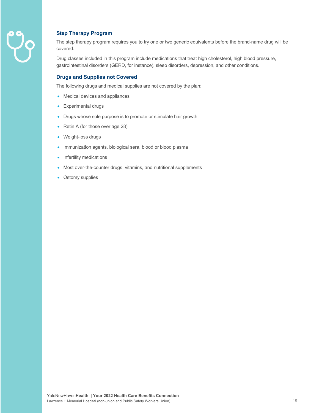

# **Step Therapy Program**

The step therapy program requires you to try one or two generic equivalents before the brand-name drug will be covered.

Drug classes included in this program include medications that treat high cholesterol, high blood pressure, gastrointestinal disorders (GERD, for instance), sleep disorders, depression, and other conditions.

### **Drugs and Supplies not Covered**

The following drugs and medical supplies are not covered by the plan:

- Medical devices and appliances
- Experimental drugs
- Drugs whose sole purpose is to promote or stimulate hair growth
- Retin A (for those over age 28)
- Weight-loss drugs
- Immunization agents, biological sera, blood or blood plasma
- Infertility medications
- Most over-the-counter drugs, vitamins, and nutritional supplements
- Ostomy supplies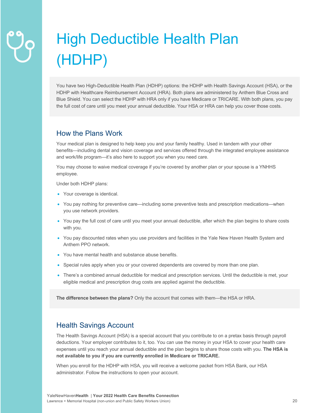# High Deductible Health Plan (HDHP)

You have two High-Deductible Health Plan (HDHP) options: the HDHP with Health Savings Account (HSA), or the HDHP with Healthcare Reimbursement Account (HRA). Both plans are administered by Anthem Blue Cross and Blue Shield. You can select the HDHP with HRA only if you have Medicare or TRICARE. With both plans, you pay the full cost of care until you meet your annual deductible. Your HSA or HRA can help you cover those costs.

# How the Plans Work

Your medical plan is designed to help keep you and your family healthy. Used in tandem with your other benefits—including dental and vision coverage and services offered through the integrated employee assistance and work/life program—it's also here to support you when you need care.

You may choose to waive medical coverage if you're covered by another plan or your spouse is a YNHHS employee.

Under both HDHP plans:

- Your coverage is identical.
- You pay nothing for preventive care—including some preventive tests and prescription medications—when you use network providers.
- You pay the full cost of care until you meet your annual deductible, after which the plan begins to share costs with you.
- You pay discounted rates when you use providers and facilities in the Yale New Haven Health System and Anthem PPO network.
- You have mental health and substance abuse benefits.
- Special rules apply when you or your covered dependents are covered by more than one plan.
- There's a combined annual deductible for medical and prescription services. Until the deductible is met, your eligible medical and prescription drug costs are applied against the deductible.

**The difference between the plans?** Only the account that comes with them—the HSA or HRA.

# Health Savings Account

The Health Savings Account (HSA) is a special account that you contribute to on a pretax basis through payroll deductions. Your employer contributes to it, too. You can use the money in your HSA to cover your health care expenses until you reach your annual deductible and the plan begins to share those costs with you. **The HSA is not available to you if you are currently enrolled in Medicare or TRICARE.**

When you enroll for the HDHP with HSA, you will receive a welcome packet from HSA Bank, our HSA administrator. Follow the instructions to open your account.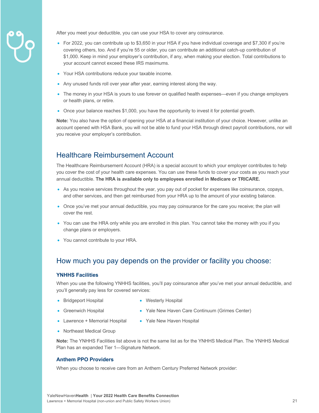

After you meet your deductible, you can use your HSA to cover any coinsurance.

- For 2022, you can contribute up to \$3,650 in your HSA if you have individual coverage and \$7,300 if you're covering others, too. And if you're 55 or older, you can contribute an additional catch-up contribution of \$1,000. Keep in mind your employer's contribution, if any, when making your election. Total contributions to your account cannot exceed these IRS maximums.
- Your HSA contributions reduce your taxable income.
- Any unused funds roll over year after year, earning interest along the way.
- The money in your HSA is yours to use forever on qualified health expenses—even if you change employers or health plans, or retire.
- Once your balance reaches \$1,000, you have the opportunity to invest it for potential growth.

**Note:** You also have the option of opening your HSA at a financial institution of your choice. However, unlike an account opened with HSA Bank, you will not be able to fund your HSA through direct payroll contributions, nor will you receive your employer's contribution.

# Healthcare Reimbursement Account

The Healthcare Reimbursement Account (HRA) is a special account to which your employer contributes to help you cover the cost of your health care expenses. You can use these funds to cover your costs as you reach your annual deductible. **The HRA is available only to employees enrolled in Medicare or TRICARE.**

- As you receive services throughout the year, you pay out of pocket for expenses like coinsurance, copays, and other services, and then get reimbursed from your HRA up to the amount of your existing balance.
- Once you've met your annual deductible, you may pay coinsurance for the care you receive; the plan will cover the rest.
- You can use the HRA only while you are enrolled in this plan. You cannot take the money with you if you change plans or employers.
- You cannot contribute to your HRA.

# How much you pay depends on the provider or facility you choose:

#### **YNHHS Facilities**

When you use the following YNHHS facilities, you'll pay coinsurance after you've met your annual deductible, and you'll generally pay less for covered services:

- Bridgeport Hospital
- Westerly Hospital
- Greenwich Hospital
- 
- Lawrence + Memorial Hospital
- Yale New Haven Care Continuum (Grimes Center)
- 
- Yale New Haven Hospital
- Northeast Medical Group

**Note:** The YNHHS Facilities list above is not the same list as for the YNHHS Medical Plan. The YNHHS Medical Plan has an expanded Tier 1—Signature Network.

### **Anthem PPO Providers**

When you choose to receive care from an Anthem Century Preferred Network provider: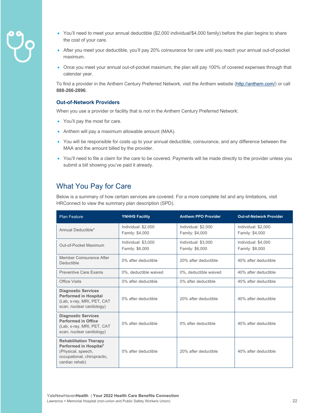- 
- You'll need to meet your annual deductible (\$2,000 individual/\$4,000 family) before the plan begins to share the cost of your care.
- After you meet your deductible, you'll pay 20% coinsurance for care until you reach your annual out-of-pocket maximum.
- Once you meet your annual out-of-pocket maximum, the plan will pay 100% of covered expenses through that calendar year.

To find a provider in the Anthem Century Preferred Network, visit the Anthem website (http://anthem.com/) or call **888-266-2896**.

#### **Out-of-Network Providers**

When you use a provider or facility that is not in the Anthem Century Preferred Network:

- You'll pay the most for care.
- Anthem will pay a maximum allowable amount (MAA).
- You will be responsible for costs up to your annual deductible, coinsurance, and any difference between the MAA and the amount billed by the provider.
- You'll need to file a claim for the care to be covered. Payments will be made directly to the provider unless you submit a bill showing you've paid it already.

# What You Pay for Care

Below is a summary of how certain services are covered. For a more complete list and any limitations, visit HRConnect to view the summary plan description (SPD).

| <b>Plan Feature</b>                                                                                                                        | <b>YNHHS Facility</b>                  | <b>Anthem PPO Provider</b>             | <b>Out-of-Network Provider</b>         |
|--------------------------------------------------------------------------------------------------------------------------------------------|----------------------------------------|----------------------------------------|----------------------------------------|
| Annual Deductible*                                                                                                                         | Individual: \$2,000<br>Family: \$4,000 | Individual: \$2,000<br>Family: \$4,000 | Individual: \$2,000<br>Family: \$4,000 |
| Out-of-Pocket Maximum                                                                                                                      | Individual: \$3,000<br>Family: \$6,000 | Individual: \$3,000<br>Family: \$6,000 | Individual: \$4,000<br>Family: \$8,000 |
| Member Coinsurance After<br>Deductible                                                                                                     | 0% after deductible                    | 20% after deductible                   | 40% after deductible                   |
| <b>Preventive Care Exams</b>                                                                                                               | 0%, deductible waived                  | 0%, deductible waived                  | 40% after deductible                   |
| <b>Office Visits</b>                                                                                                                       | 0% after deductible                    | 0% after deductible                    | 40% after deductible                   |
| <b>Diagnostic Services</b><br><b>Performed in Hospital</b><br>(Lab, x-ray, MRI, PET, CAT<br>scan, nuclear cardiology)                      | 0% after deductible                    | 20% after deductible                   | 40% after deductible                   |
| <b>Diagnostic Services</b><br><b>Performed in Office</b><br>(Lab, x-ray, MRI, PET, CAT<br>scan, nuclear cardiology)                        | 0% after deductible                    | 0% after deductible                    | 40% after deductible                   |
| <b>Rehabilitation Therapy</b><br>Performed in Hospital <sup>1</sup><br>(Physical, speech,<br>occupational, chiropractic,<br>cardiac rehab) | 0% after deductible                    | 20% after deductible                   | 40% after deductible                   |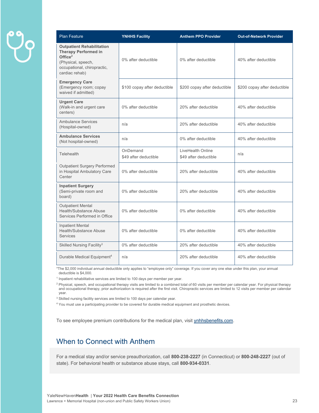| <b>Plan Feature</b>                                                                                                                                  | <b>YNHHS Facility</b>             | <b>Anthem PPO Provider</b>                 | <b>Out-of-Network Provider</b> |
|------------------------------------------------------------------------------------------------------------------------------------------------------|-----------------------------------|--------------------------------------------|--------------------------------|
| <b>Outpatient Rehabilitation</b><br><b>Therapy Performed in</b><br>Office $2$<br>(Physical, speech,<br>occupational, chiropractic,<br>cardiac rehab) | 0% after deductible               | 0% after deductible                        | 40% after deductible           |
| <b>Emergency Care</b><br>(Emergency room; copay<br>waived if admitted)                                                                               | \$100 copay after deductible      | \$200 copay after deductible               | \$200 copay after deductible   |
| <b>Urgent Care</b><br>(Walk-in and urgent care<br>centers)                                                                                           | 0% after deductible               | 20% after deductible                       | 40% after deductible           |
| Ambulance Services<br>(Hospital-owned)                                                                                                               | n/a                               | 20% after deductible                       | 40% after deductible           |
| <b>Ambulance Services</b><br>(Not hospital-owned)                                                                                                    | n/a                               | 0% after deductible                        | 40% after deductible           |
| Telehealth                                                                                                                                           | OnDemand<br>\$49 after deductible | LiveHealth Online<br>\$49 after deductible | n/a                            |
| <b>Outpatient Surgery Performed</b><br>in Hospital Ambulatory Care<br>Center                                                                         | 0% after deductible               | 20% after deductible                       | 40% after deductible           |
| <b>Inpatient Surgery</b><br>(Semi-private room and<br>board)                                                                                         | 0% after deductible               | 20% after deductible                       | 40% after deductible           |
| <b>Outpatient Mental</b><br>Health/Substance Abuse<br>Services Performed in Office                                                                   | 0% after deductible               | 0% after deductible                        | 40% after deductible           |
| <b>Inpatient Mental</b><br><b>Health/Substance Abuse</b><br><b>Services</b>                                                                          | 0% after deductible               | 0% after deductible                        | 40% after deductible           |
| Skilled Nursing Facility <sup>3</sup>                                                                                                                | 0% after deductible               | 20% after deductible                       | 40% after deductible           |
| Durable Medical Equipment <sup>4</sup>                                                                                                               | n/a                               | 20% after deductible                       | 40% after deductible           |

\*The \$2,000 individual annual deductible only applies to "employee only" coverage. If you cover any one else under this plan, your annual deductible is \$4,000.

<sup>1</sup> Inpatient rehabilitative services are limited to 100 days per member per year.

<sup>2</sup> Physical, speech, and occupational therapy visits are limited to a combined total of 60 visits per member per calendar year. For physical therapy and occupational therapy, prior authorization is required after the first visit. Chiropractic services are limited to 12 visits per member per calendar year.

<sup>3</sup> Skilled nursing facility services are limited to 100 days per calendar year.

<sup>4</sup> You must use a participating provider to be covered for durable medical equipment and prosthetic devices.

To see employee premium contributions for the medical plan, visit ynhhsbenefits.com.

# When to Connect with Anthem

For a medical stay and/or service preauthorization, call **800-238-2227** (in Connecticut) or **800-248-2227** (out of state). For behavioral health or substance abuse stays, call **800-934-0331**.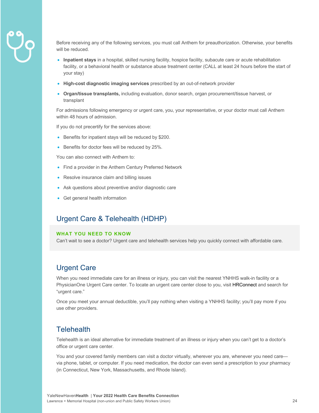

Before receiving any of the following services, you must call Anthem for preauthorization. Otherwise, your benefits will be reduced.

- **Inpatient stays** in a hospital, skilled nursing facility, hospice facility, subacute care or acute rehabilitation facility, or a behavioral health or substance abuse treatment center (CALL at least 24 hours before the start of your stay)
- **High-cost diagnostic imaging services** prescribed by an out-of-network provider
- **Organ/tissue transplants,** including evaluation, donor search, organ procurement/tissue harvest, or transplant

For admissions following emergency or urgent care, you, your representative, or your doctor must call Anthem within 48 hours of admission.

If you do not precertify for the services above:

- Benefits for inpatient stays will be reduced by \$200.
- Benefits for doctor fees will be reduced by 25%.

You can also connect with Anthem to:

- Find a provider in the Anthem Century Preferred Network
- Resolve insurance claim and billing issues
- Ask questions about preventive and/or diagnostic care
- Get general health information

# Urgent Care & Telehealth (HDHP)

#### **WHAT YOU NEED TO KNOW**

Can't wait to see a doctor? Urgent care and telehealth services help you quickly connect with affordable care.

# Urgent Care

When you need immediate care for an illness or injury, you can visit the nearest YNHHS walk-in facility or a PhysicianOne Urgent Care center. To locate an urgent care center close to you, visit **HRConnect** and search for "urgent care."

Once you meet your annual deductible, you'll pay nothing when visiting a YNHHS facility; you'll pay more if you use other providers.

# **Telehealth**

Telehealth is an ideal alternative for immediate treatment of an illness or injury when you can't get to a doctor's office or urgent care center.

You and your covered family members can visit a doctor virtually, wherever you are, whenever you need care via phone, tablet, or computer. If you need medication, the doctor can even send a prescription to your pharmacy (in Connecticut, New York, Massachusetts, and Rhode Island).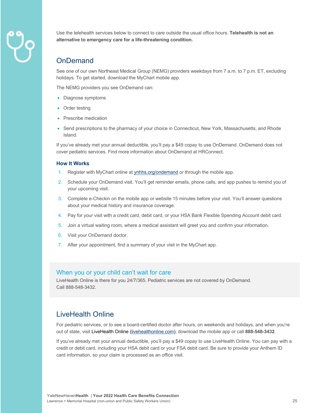

Use the telehealth services below to connect to care outside the usual office hours. **Telehealth is not an alternative to emergency care for a life-threatening condition.** 

# OnDemand

See one of our own Northeast Medical Group (NEMG) providers weekdays from 7 a.m. to 7 p.m. ET, excluding holidays. To get started, download the MyChart mobile app.

The NEMG providers you see OnDemand can:

- Diagnose symptoms
- Order testing
- Prescribe medication
- Send prescriptions to the pharmacy of your choice in Connecticut, New York, Massachusetts, and Rhode Island.

If you've already met your annual deductible, you'll pay a \$49 copay to use OnDemand. OnDemand does not cover pediatric services. Find more information about OnDemand at HRConnect.

#### **How It Works**

- 1. Register with MyChart online at **ynhhs.org/ondemand** or through the mobile app.
- 2. Schedule your OnDemand visit. You'll get reminder emails, phone calls, and app pushes to remind you of your upcoming visit.
- 3. Complete e-Checkin on the mobile app or website 15 minutes before your visit. You'll answer questions about your medical history and insurance coverage.
- 4. Pay for your visit with a credit card, debit card, or your HSA Bank Flexible Spending Account debit card.
- 5. Join a virtual waiting room, where a medical assistant will greet you and confirm your information.
- 6. Visit your OnDemand doctor.
- 7. After your appointment, find a summary of your visit in the MyChart app.

# When you or your child can't wait for care

LiveHealth Online is there for you 24/7/365. Pediatric services are not covered by OnDemand. Call 888-548-3432.

# LiveHealth Online

For pediatric services, or to see a board-certified doctor after hours, on weekends and holidays, and when you're out of state, visit LiveHealth Online (livehealthonline.com), download the mobile app or call **888-548-3432**.

If you've already met your annual deductible, you'll pay a \$49 copay to use LiveHealth Online. You can pay with a credit or debit card, including your HSA debit card or your FSA debit card. Be sure to provide your Anthem ID card information, so your claim is processed as an office visit.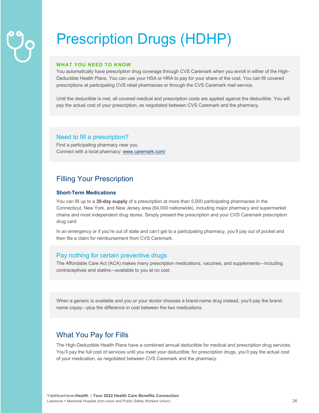# Prescription Drugs (HDHP)

#### **WHAT YOU NEED TO KNOW**

You automatically have prescription drug coverage through CVS Caremark when you enroll in either of the High-Deductible Health Plans. You can use your HSA or HRA to pay for your share of the cost. You can fill covered prescriptions at participating CVS retail pharmacies or through the CVS Caremark mail service.

Until the deductible is met, all covered medical and prescription costs are applied against the deductible. You will pay the actual cost of your prescription, as negotiated between CVS Caremark and the pharmacy.

### Need to fill a prescription?

Find a participating pharmacy near you. Connect with a local pharmacy: www.caremark.com/

# Filling Your Prescription

### **Short-Term Medications**

You can fill up to a **30-day supply** of a prescription at more than 5,000 participating pharmacies in the Connecticut, New York, and New Jersey area (64,000 nationwide), including major pharmacy and supermarket chains and most independent drug stores. Simply present the prescription and your CVS Caremark prescription drug card.

In an emergency or if you're out of state and can't get to a participating pharmacy, you'll pay out of pocket and then file a claim for reimbursement from CVS Caremark.

# Pay nothing for certain preventive drugs

The Affordable Care Act (ACA) makes many prescription medications, vaccines, and supplements—including contraceptives and statins—available to you at no cost.

When a generic is available and you or your doctor chooses a brand-name drug instead, you'll pay the brandname copay—plus the difference in cost between the two medications.

# What You Pay for Fills

The High-Deductible Health Plans have a combined annual deductible for medical and prescription drug services. You'll pay the full cost of services until you meet your deductible; for prescription drugs, you'll pay the actual cost of your medication, as negotiated between CVS Caremark and the pharmacy.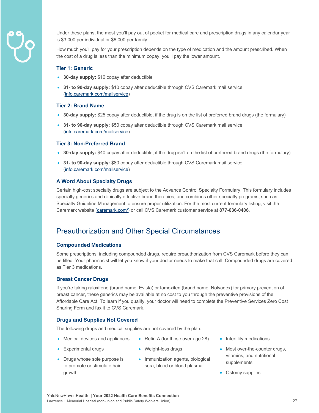

Under these plans, the most you'll pay out of pocket for medical care and prescription drugs in any calendar year is \$3,000 per individual or \$6,000 per family.

How much you'll pay for your prescription depends on the type of medication and the amount prescribed. When the cost of a drug is less than the minimum copay, you'll pay the lower amount.

#### **Tier 1: Generic**

- **30-day supply:** \$10 copay after deductible
- **31- to 90-day supply:** \$10 copay after deductible through CVS Caremark mail service (info.caremark.com/mailservice)

#### **Tier 2: Brand Name**

- **30-day supply:** \$25 copay after deductible, if the drug is on the list of preferred brand drugs (the formulary)
- **31- to 90-day supply:** \$50 copay after deductible through CVS Caremark mail service (info.caremark.com/mailservice)

#### **Tier 3: Non-Preferred Brand**

- **30-day supply:** \$40 copay after deductible, if the drug isn't on the list of preferred brand drugs (the formulary)
- **31- to 90-day supply:** \$80 copay after deductible through CVS Caremark mail service (info.caremark.com/mailservice)

#### **A Word About Specialty Drugs**

Certain high-cost specialty drugs are subject to the Advance Control Specialty Formulary. This formulary includes specialty generics and clinically effective brand therapies, and combines other specialty programs, such as Specialty Guideline Management to ensure proper utilization. For the most current formulary listing, visit the Caremark website (caremark.com/) or call CVS Caremark customer service at **877-636-0406**.

# Preauthorization and Other Special Circumstances

#### **Compounded Medications**

Some prescriptions, including compounded drugs, require preauthorization from CVS Caremark before they can be filled. Your pharmacist will let you know if your doctor needs to make that call. Compounded drugs are covered as Tier 3 medications.

#### **Breast Cancer Drugs**

If you're taking raloxifene (brand name: Evista) or tamoxifen (brand name: Nolvadex) for primary prevention of breast cancer, these generics may be available at no cost to you through the preventive provisions of the Affordable Care Act. To learn if you qualify, your doctor will need to complete the Preventive Services Zero Cost Sharing Form and fax it to CVS Caremark.

#### **Drugs and Supplies Not Covered**

The following drugs and medical supplies are not covered by the plan:

- Medical devices and appliances
- Weight-loss drugs
- Drugs whose sole purpose is to promote or stimulate hair growth

• Experimental drugs

• Immunization agents, biological sera, blood or blood plasma

• Retin A (for those over age 28)

- Infertility medications
- Most over-the-counter drugs, vitamins, and nutritional supplements
- Ostomy supplies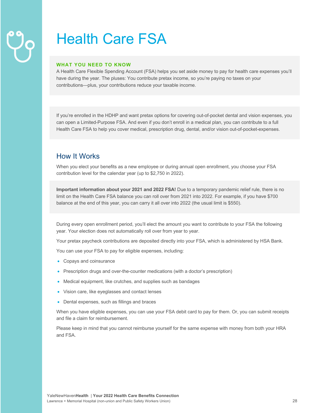# Health Care FSA

#### **WHAT YOU NEED TO KNOW**

A Health Care Flexible Spending Account (FSA) helps you set aside money to pay for health care expenses you'll have during the year. The pluses: You contribute pretax income, so you're paying no taxes on your contributions—plus, your contributions reduce your taxable income.

If you're enrolled in the HDHP and want pretax options for covering out-of-pocket dental and vision expenses, you can open a Limited-Purpose FSA. And even if you don't enroll in a medical plan, you can contribute to a full Health Care FSA to help you cover medical, prescription drug, dental, and/or vision out-of-pocket-expenses.

# How It Works

When you elect your benefits as a new employee or during annual open enrollment, you choose your FSA contribution level for the calendar year (up to \$2,750 in 2022).

**Important information about your 2021 and 2022 FSA!** Due to a temporary pandemic relief rule, there is no limit on the Health Care FSA balance you can roll over from 2021 into 2022. For example, if you have \$700 balance at the end of this year, you can carry it all over into 2022 (the usual limit is \$550).

During every open enrollment period, you'll elect the amount you want to contribute to your FSA the following year. Your election does not automatically roll over from year to year.

Your pretax paycheck contributions are deposited directly into your FSA, which is administered by HSA Bank.

You can use your FSA to pay for eligible expenses, including:

- Copays and coinsurance
- Prescription drugs and over-the-counter medications (with a doctor's prescription)
- Medical equipment, like crutches, and supplies such as bandages
- Vision care, like eyeglasses and contact lenses
- Dental expenses, such as fillings and braces

When you have eligible expenses, you can use your FSA debit card to pay for them. Or, you can submit receipts and file a claim for reimbursement.

Please keep in mind that you cannot reimburse yourself for the same expense with money from both your HRA and FSA.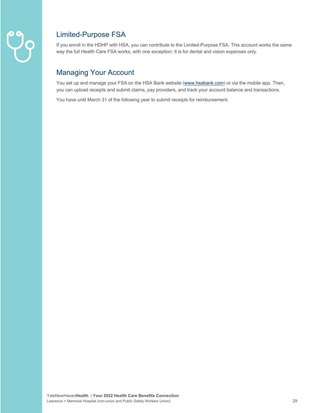

# Limited-Purpose FSA

If you enroll in the HDHP with HSA, you can contribute to the Limited-Purpose FSA. This account works the same way the full Health Care FSA works, with one exception: It is for dental and vision expenses only.

# Managing Your Account

You set up and manage your FSA on the HSA Bank website (www.hsabank.com) or via the mobile app. Then, you can upload receipts and submit claims, pay providers, and track your account balance and transactions.

You have until March 31 of the following year to submit receipts for reimbursement.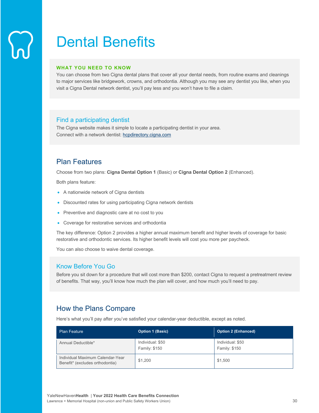# Dental Benefits

#### **WHAT YOU NEED TO KNOW**

You can choose from two Cigna dental plans that cover all your dental needs, from routine exams and cleanings to major services like bridgework, crowns, and orthodontia. Although you may see any dentist you like, when you visit a Cigna Dental network dentist, you'll pay less and you won't have to file a claim.

# Find a participating dentist

The Cigna website makes it simple to locate a participating dentist in your area. Connect with a network dentist: hcpdirectory.cigna.com

# Plan Features

Choose from two plans: **Cigna Dental Option 1** (Basic) or **Cigna Dental Option 2** (Enhanced).

Both plans feature:

- A nationwide network of Cigna dentists
- Discounted rates for using participating Cigna network dentists
- Preventive and diagnostic care at no cost to you
- Coverage for restorative services and orthodontia

The key difference: Option 2 provides a higher annual maximum benefit and higher levels of coverage for basic restorative and orthodontic services. Its higher benefit levels will cost you more per paycheck.

You can also choose to waive dental coverage.

# Know Before You Go

Before you sit down for a procedure that will cost more than \$200, contact Cigna to request a pretreatment review of benefits. That way, you'll know how much the plan will cover, and how much you'll need to pay.

# How the Plans Compare

Here's what you'll pay after you've satisfied your calendar-year deductible, except as noted.

| <b>Plan Feature</b>                                                 | <b>Option 1 (Basic)</b>           | <b>Option 2 (Enhanced)</b>        |
|---------------------------------------------------------------------|-----------------------------------|-----------------------------------|
| Annual Deductible*                                                  | Individual: \$50<br>Family: \$150 | Individual: \$50<br>Family: \$150 |
| Individual Maximum Calendar-Year<br>Benefit* (excludes orthodontia) | \$1,200                           | \$1,500                           |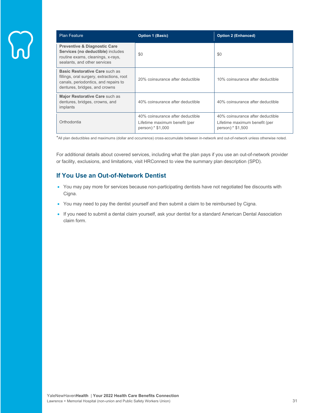| <b>Plan Feature</b>                                                                                                                                         | <b>Option 1 (Basic)</b>                                                                | <b>Option 2 (Enhanced)</b>                                                             |
|-------------------------------------------------------------------------------------------------------------------------------------------------------------|----------------------------------------------------------------------------------------|----------------------------------------------------------------------------------------|
| <b>Preventive &amp; Diagnostic Care</b><br>Services (no deductible) includes<br>routine exams, cleanings, x-rays,<br>sealants, and other services           | \$0                                                                                    | \$0                                                                                    |
| <b>Basic Restorative Care such as</b><br>fillings, oral surgery, extractions, root<br>canals, periodontics, and repairs to<br>dentures, bridges, and crowns | 20% coinsurance after deductible                                                       | 10% coinsurance after deductible                                                       |
| Major Restorative Care such as<br>dentures, bridges, crowns, and<br>implants                                                                                | 40% coinsurance after deductible                                                       | 40% coinsurance after deductible                                                       |
| Orthodontia                                                                                                                                                 | 40% coinsurance after deductible<br>Lifetime maximum benefit (per<br>person):* \$1,000 | 40% coinsurance after deductible<br>Lifetime maximum benefit (per<br>person):* \$1,500 |

\*All plan deductibles and maximums (dollar and occurrence) cross-accumulate between in-network and out-of-network unless otherwise noted.

For additional details about covered services, including what the plan pays if you use an out-of-network provider or facility, exclusions, and limitations, visit HRConnect to view the summary plan description (SPD).

# **If You Use an Out-of-Network Dentist**

- You may pay more for services because non-participating dentists have not negotiated fee discounts with Cigna.
- You may need to pay the dentist yourself and then submit a claim to be reimbursed by Cigna.
- If you need to submit a dental claim yourself, ask your dentist for a standard American Dental Association claim form.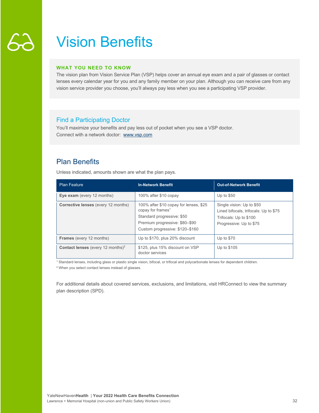# Vision Benefits

#### **WHAT YOU NEED TO KNOW**

The vision plan from Vision Service Plan (VSP) helps cover an annual eye exam and a pair of glasses or contact lenses every calendar year for you and any family member on your plan. Although you can receive care from any vision service provider you choose, you'll always pay less when you see a participating VSP provider.

# Find a Participating Doctor

You'll maximize your benefits and pay less out of pocket when you see a VSP doctor. Connect with a network doctor: www.vsp.com

# Plan Benefits

Unless indicated, amounts shown are what the plan pays.

| <b>Plan Feature</b>                                  | <b>In-Network Benefit</b>                                                                                                                                                  | <b>Out-of-Network Benefit</b>                                                                                           |
|------------------------------------------------------|----------------------------------------------------------------------------------------------------------------------------------------------------------------------------|-------------------------------------------------------------------------------------------------------------------------|
| Eye exam (every 12 months)                           | 100% after \$10 copay                                                                                                                                                      | Up to $$50$                                                                                                             |
| <b>Corrective lenses</b> (every 12 months)           | 100% after \$10 copay for lenses, \$25<br>copay for frames <sup>1</sup><br>Standard progressive: \$50<br>Premium progressive: \$80-\$90<br>Custom progressive: \$120-\$160 | Single vision: Up to \$50<br>Lined bifocals, trifocals: Up to \$75<br>Trifocals: Up to \$100<br>Progressive: Up to \$75 |
| <b>Frames</b> (every 12 months)                      | Up to \$170, plus 20% discount                                                                                                                                             | Up to $$70$                                                                                                             |
| <b>Contact lenses</b> (every 12 months) <sup>2</sup> | \$125, plus 15% discount on VSP<br>doctor services                                                                                                                         | Up to \$105                                                                                                             |

<sup>1</sup> Standard lenses, including glass or plastic single vision, bifocal, or trifocal and polycarbonate lenses for dependent children.

<sup>2</sup> When you select contact lenses instead of glasses.

For additional details about covered services, exclusions, and limitations, visit HRConnect to view the summary plan description (SPD).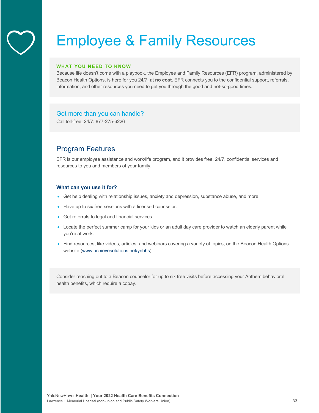# Employee & Family Resources

#### **WHAT YOU NEED TO KNOW**

Because life doesn't come with a playbook, the Employee and Family Resources (EFR) program, administered by Beacon Health Options, is here for you 24/7, at **no cost**. EFR connects you to the confidential support, referrals, information, and other resources you need to get you through the good and not-so-good times.

# Got more than you can handle?

Call toll-free, 24/7: 877-275-6226

# Program Features

EFR is our employee assistance and work/life program, and it provides free, 24/7, confidential services and resources to you and members of your family.

#### **What can you use it for?**

- Get help dealing with relationship issues, anxiety and depression, substance abuse, and more.
- Have up to six free sessions with a licensed counselor.
- Get referrals to legal and financial services.
- Locate the perfect summer camp for your kids or an adult day care provider to watch an elderly parent while you're at work.
- Find resources, like videos, articles, and webinars covering a variety of topics, on the Beacon Health Options website (www.achievesolutions.net/ynhhs).

Consider reaching out to a Beacon counselor for up to six free visits before accessing your Anthem behavioral health benefits, which require a copay.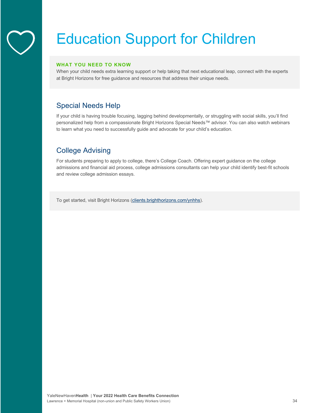# Education Support for Children

#### **WHAT YOU NEED TO KNOW**

When your child needs extra learning support or help taking that next educational leap, connect with the experts at Bright Horizons for free guidance and resources that address their unique needs.

# Special Needs Help

If your child is having trouble focusing, lagging behind developmentally, or struggling with social skills, you'll find personalized help from a compassionate Bright Horizons Special Needs™ advisor. You can also watch webinars to learn what you need to successfully guide and advocate for your child's education.

# College Advising

For students preparing to apply to college, there's College Coach. Offering expert guidance on the college admissions and financial aid process, college admissions consultants can help your child identify best-fit schools and review college admission essays.

To get started, visit Bright Horizons (clients.brighthorizons.com/ynhhs).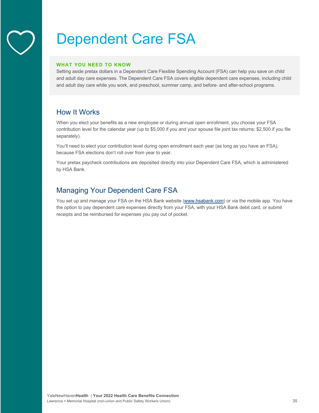# Dependent Care FSA

#### **WHAT YOU NEED TO KNOW**

Setting aside pretax dollars in a Dependent Care Flexible Spending Account (FSA) can help you save on child and adult day care expenses. The Dependent Care FSA covers eligible dependent care expenses, including child and adult day care while you work, and preschool, summer camp, and before- and after-school programs.

# How It Works

When you elect your benefits as a new employee or during annual open enrollment, you choose your FSA contribution level for the calendar year (up to \$5,000 if you and your spouse file joint tax returns; \$2,500 if you file separately).

You'll need to elect your contribution level during open enrollment each year (as long as you have an FSA), because FSA elections don't roll over from year to year.

Your pretax paycheck contributions are deposited directly into your Dependent Care FSA, which is administered by HSA Bank.

# Managing Your Dependent Care FSA

You set up and manage your FSA on the HSA Bank website (www.hsabank.com) or via the mobile app. You have the option to pay dependent care expenses directly from your FSA, with your HSA Bank debit card, or submit receipts and be reimbursed for expenses you pay out of pocket.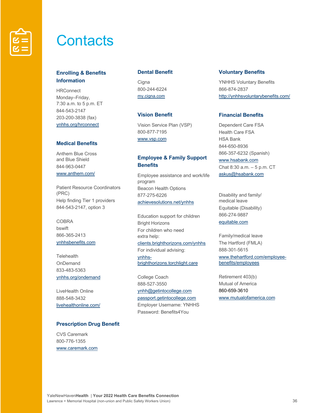

# **Contacts**

# **Enrolling & Benefits Information**

**HRConnect** Monday–Friday, 7:30 a.m. to 5 p.m. ET 844-543-2147 203-200-3838 (fax) ynhhs.org/hrconnect

### **Medical Benefits**

Anthem Blue Cross and Blue Shield 844-963-0447 www.anthem.com/

Patient Resource Coordinators (PRC) Help finding Tier 1 providers 844-543-2147, option 3

COBRA bswift 866-365-2413 ynhhsbenefits.com

**Telehealth** OnDemand 833-483-5363 ynhhs.org/ondemand

LiveHealth Online 888-548-3432 livehealthonline.com/

# **Prescription Drug Benefit**

CVS Caremark 800-776-1355 www.caremark.com

#### **Dental Benefit**

**Cigna** 800-244-6224 my.cigna.com

# **Vision Benefit**

Vision Service Plan (VSP) 800-877-7195 www.vsp.com

# **Employee & Family Support Benefits**

Employee assistance and work/life program Beacon Health Options 877-275-6226 achievesolutions.net/ynhhs

Education support for children Bright Horizons For children who need extra help: clients.brighthorizons.com/ynhhs For individual advising: ynhhsbrighthorizons.torchlight.care

College Coach 888-527-3550 ynhh@getintocollege.com passport.getintocollege.com Employer Username: YNHHS Password: Benefits4You

#### **Voluntary Benefits**

YNHHS Voluntary Benefits 866-874-2837 http://ynhhsvoluntarybenefits.com/

# **Financial Benefits**

Dependent Care FSA Health Care FSA HSA Bank 844-650-8936 866-357-6232 (Spanish) www.hsabank.com Chat 8:30 a.m. – 5 p.m. CT askus@hsabank.com

Disability and family/ medical leave Equitable (Disability) 866-274-9887 equitable.com

Family/medical leave The Hartford (FMLA) 888-301-5615 www.thehartford.com/employeebenefits/employees

Retirement 403(b) Mutual of America 860-659-3610 www.mutualofamerica.com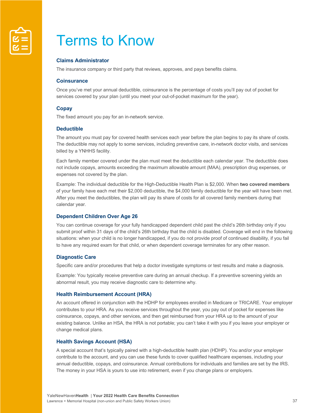

# Terms to Know

### **Claims Administrator**

The insurance company or third party that reviews, approves, and pays benefits claims.

#### **Coinsurance**

Once you've met your annual deductible, coinsurance is the percentage of costs you'll pay out of pocket for services covered by your plan (until you meet your out-of-pocket maximum for the year).

#### **Copay**

The fixed amount you pay for an in-network service.

#### **Deductible**

The amount you must pay for covered health services each year before the plan begins to pay its share of costs. The deductible may not apply to some services, including preventive care, in-network doctor visits, and services billed by a YNHHS facility.

Each family member covered under the plan must meet the deductible each calendar year. The deductible does not include copays, amounts exceeding the maximum allowable amount (MAA), prescription drug expenses, or expenses not covered by the plan.

Example: The individual deductible for the High-Deductible Health Plan is \$2,000. When **two covered members** of your family have each met their \$2,000 deductible, the \$4,000 family deductible for the year will have been met. After you meet the deductibles, the plan will pay its share of costs for all covered family members during that calendar year.

#### **Dependent Children Over Age 26**

You can continue coverage for your fully handicapped dependent child past the child's 26th birthday only if you submit proof within 31 days of the child's 26th birthday that the child is disabled. Coverage will end in the following situations: when your child is no longer handicapped, if you do not provide proof of continued disability, if you fail to have any required exam for that child, or when dependent coverage terminates for any other reason.

#### **Diagnostic Care**

Specific care and/or procedures that help a doctor investigate symptoms or test results and make a diagnosis.

Example: You typically receive preventive care during an annual checkup. If a preventive screening yields an abnormal result, you may receive diagnostic care to determine why.

#### **Health Reimbursement Account (HRA)**

An account offered in conjunction with the HDHP for employees enrolled in Medicare or TRICARE. Your employer contributes to your HRA. As you receive services throughout the year, you pay out of pocket for expenses like coinsurance, copays, and other services, and then get reimbursed from your HRA up to the amount of your existing balance. Unlike an HSA, the HRA is not portable; you can't take it with you if you leave your employer or change medical plans.

#### **Health Savings Account (HSA)**

A special account that's typically paired with a high-deductible health plan (HDHP). You and/or your employer contribute to the account, and you can use these funds to cover qualified healthcare expenses, including your annual deductible, copays, and coinsurance. Annual contributions for individuals and families are set by the IRS. The money in your HSA is yours to use into retirement, even if you change plans or employers.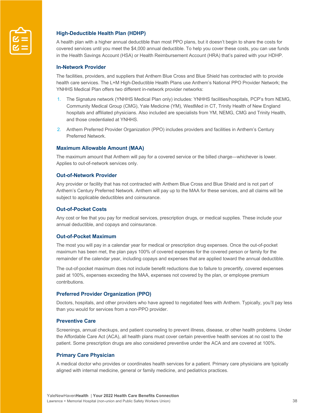

# **High-Deductible Health Plan (HDHP)**

A health plan with a higher annual deductible than most PPO plans, but it doesn't begin to share the costs for covered services until you meet the \$4,000 annual deductible. To help you cover these costs, you can use funds in the Health Savings Account (HSA) or Health Reimbursement Account (HRA) that's paired with your HDHP.

#### **In-Network Provider**

The facilities, providers, and suppliers that Anthem Blue Cross and Blue Shield has contracted with to provide health care services. The L+M High-Deductible Health Plans use Anthem's National PPO Provider Network; the YNHHS Medical Plan offers two different in-network provider networks:

- 1. The Signature network (YNHHS Medical Plan only) includes: YNHHS facilities/hospitals, PCP's from NEMG, Community Medical Group (CMG), Yale Medicine (YM), WestMed in CT, Trinity Health of New England hospitals and affiliated physicians. Also included are specialists from YM, NEMG, CMG and Trinity Health, and those credentialed at YNHHS.
- 2. Anthem Preferred Provider Organization (PPO) includes providers and facilities in Anthem's Century Preferred Network.

#### **Maximum Allowable Amount (MAA)**

The maximum amount that Anthem will pay for a covered service or the billed charge—whichever is lower. Applies to out-of-network services only.

#### **Out-of-Network Provider**

Any provider or facility that has not contracted with Anthem Blue Cross and Blue Shield and is not part of Anthem's Century Preferred Network. Anthem will pay up to the MAA for these services, and all claims will be subject to applicable deductibles and coinsurance.

#### **Out-of-Pocket Costs**

Any cost or fee that you pay for medical services, prescription drugs, or medical supplies. These include your annual deductible, and copays and coinsurance.

### **Out-of-Pocket Maximum**

The most you will pay in a calendar year for medical or prescription drug expenses. Once the out-of-pocket maximum has been met, the plan pays 100% of covered expenses for the covered person or family for the remainder of the calendar year, including copays and expenses that are applied toward the annual deductible.

The out-of-pocket maximum does not include benefit reductions due to failure to precertify, covered expenses paid at 100%, expenses exceeding the MAA, expenses not covered by the plan, or employee premium contributions.

#### **Preferred Provider Organization (PPO)**

Doctors, hospitals, and other providers who have agreed to negotiated fees with Anthem. Typically, you'll pay less than you would for services from a non-PPO provider.

### **Preventive Care**

Screenings, annual checkups, and patient counseling to prevent illness, disease, or other health problems. Under the Affordable Care Act (ACA), all health plans must cover certain preventive health services at no cost to the patient. Some prescription drugs are also considered preventive under the ACA and are covered at 100%.

#### **Primary Care Physician**

A medical doctor who provides or coordinates health services for a patient. Primary care physicians are typically aligned with internal medicine, general or family medicine, and pediatrics practices.